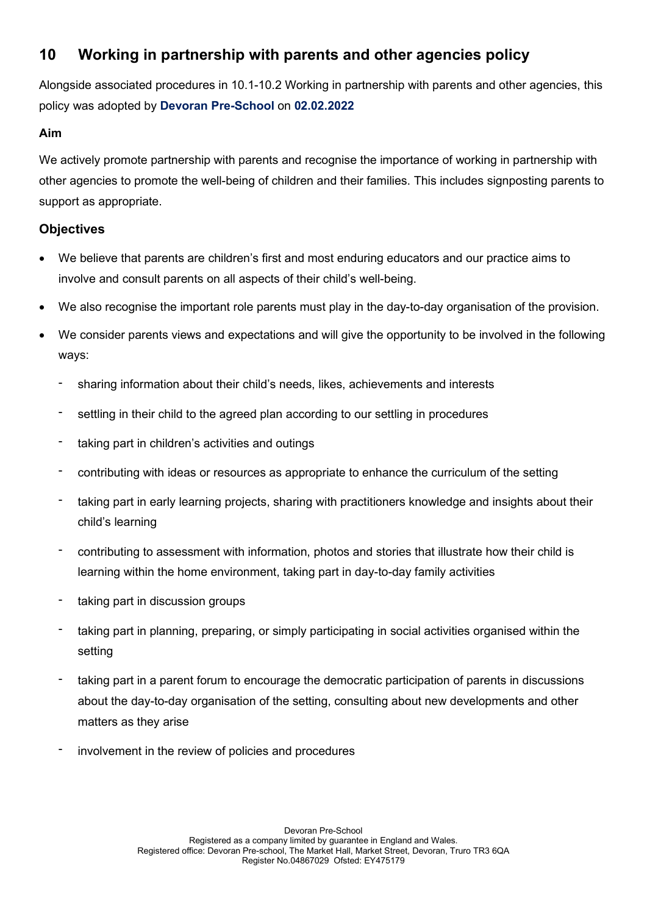# 10 Working in partnership with parents and other agencies policy

Alongside associated procedures in 10.1-10.2 Working in partnership with parents and other agencies, this policy was adopted by Devoran Pre-School on 02.02.2022

### Aim

We actively promote partnership with parents and recognise the importance of working in partnership with other agencies to promote the well-being of children and their families. This includes signposting parents to support as appropriate.

# **Objectives**

- We believe that parents are children's first and most enduring educators and our practice aims to involve and consult parents on all aspects of their child's well-being.
- We also recognise the important role parents must play in the day-to-day organisation of the provision.
- We consider parents views and expectations and will give the opportunity to be involved in the following ways:
	- sharing information about their child's needs, likes, achievements and interests
	- settling in their child to the agreed plan according to our settling in procedures
	- taking part in children's activities and outings
	- contributing with ideas or resources as appropriate to enhance the curriculum of the setting
	- taking part in early learning projects, sharing with practitioners knowledge and insights about their child's learning
	- contributing to assessment with information, photos and stories that illustrate how their child is learning within the home environment, taking part in day-to-day family activities
	- taking part in discussion groups
	- taking part in planning, preparing, or simply participating in social activities organised within the setting
	- taking part in a parent forum to encourage the democratic participation of parents in discussions about the day-to-day organisation of the setting, consulting about new developments and other matters as they arise
	- involvement in the review of policies and procedures